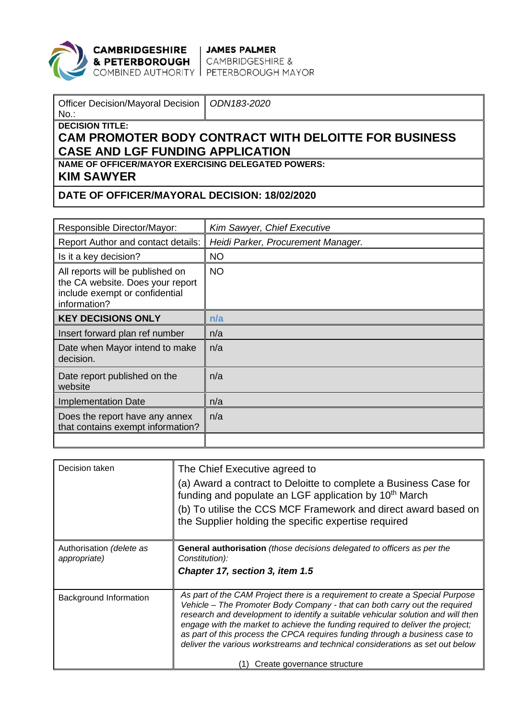

**CAMBRIDGESHIRE** JAMES PALMER<br> **& PETERBOROUGH** CAMBRIDGESHIRE &<br>
COMBINED AUTHORITY PETERBOROUGH MAYOR

| Officer Decision/Mayoral Decision   ODN183-2020 |  |
|-------------------------------------------------|--|
| $\parallel$ No                                  |  |
| $\parallel$ DECISION TITLE:                     |  |

## **CAM PROMOTER BODY CONTRACT WITH DELOITTE FOR BUSINESS CASE AND LGF FUNDING APPLICATION**

**NAME OF OFFICER/MAYOR EXERCISING DELEGATED POWERS:**

**KIM SAWYER**

## **DATE OF OFFICER/MAYORAL DECISION: 18/02/2020**

| Responsible Director/Mayor:                                                                                            | Kim Sawyer, Chief Executive        |
|------------------------------------------------------------------------------------------------------------------------|------------------------------------|
| Report Author and contact details:                                                                                     | Heidi Parker, Procurement Manager. |
| Is it a key decision?                                                                                                  | <b>NO</b>                          |
| All reports will be published on<br>the CA website. Does your report<br>include exempt or confidential<br>information? | <b>NO</b>                          |
| <b>KEY DECISIONS ONLY</b>                                                                                              | n/a                                |
| Insert forward plan ref number                                                                                         | n/a                                |
| Date when Mayor intend to make<br>decision.                                                                            | n/a                                |
| Date report published on the<br>website                                                                                | n/a                                |
| <b>Implementation Date</b>                                                                                             | n/a                                |
| Does the report have any annex<br>that contains exempt information?                                                    | n/a                                |
|                                                                                                                        |                                    |

| Decision taken                           | The Chief Executive agreed to<br>(a) Award a contract to Deloitte to complete a Business Case for<br>funding and populate an LGF application by 10 <sup>th</sup> March<br>(b) To utilise the CCS MCF Framework and direct award based on<br>the Supplier holding the specific expertise required                                                                                                                                                                                                                                  |
|------------------------------------------|-----------------------------------------------------------------------------------------------------------------------------------------------------------------------------------------------------------------------------------------------------------------------------------------------------------------------------------------------------------------------------------------------------------------------------------------------------------------------------------------------------------------------------------|
| Authorisation (delete as<br>appropriate) | <b>General authorisation</b> (those decisions delegated to officers as per the<br>Constitution):<br>Chapter 17, section 3, item 1.5                                                                                                                                                                                                                                                                                                                                                                                               |
| Background Information                   | As part of the CAM Project there is a requirement to create a Special Purpose<br>Vehicle - The Promoter Body Company - that can both carry out the required<br>research and development to identify a suitable vehicular solution and will then<br>engage with the market to achieve the funding required to deliver the project;<br>as part of this process the CPCA requires funding through a business case to<br>deliver the various workstreams and technical considerations as set out below<br>Create governance structure |